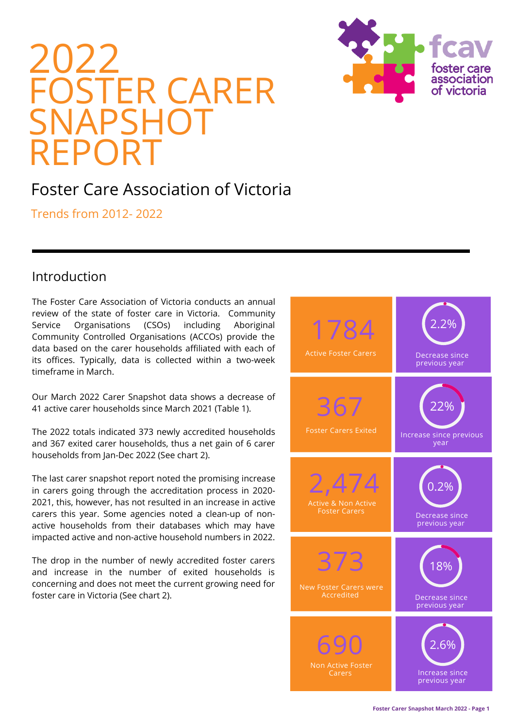



# Foster Care Association of Victoria

Trends from 2012- 2022

## Introduction

The Foster Care Association of Victoria conducts an annual review of the state of foster care in Victoria. Community Service Organisations (CSOs) including Aboriginal Community Controlled Organisations (ACCOs) provide the data based on the carer households affiliated with each of its offices. Typically, data is collected within a two-week timeframe in March.

Our March 2022 Carer Snapshot data shows a decrease of 41 active carer households since March 2021 (Table 1).

The 2022 totals indicated 373 newly accredited households and 367 exited carer households, thus a net gain of 6 carer households from Jan-Dec 2022 (See chart 2).

The last carer snapshot report noted the promising increase in carers going through the accreditation process in 2020- 2021, this, however, has not resulted in an increase in active carers this year. Some agencies noted a clean-up of nonactive households from their databases which may have impacted active and non-active household numbers in 2022.

The drop in the number of newly accredited foster carers and increase in the number of exited households is concerning and does not meet the current growing need for foster care in Victoria (See chart 2).

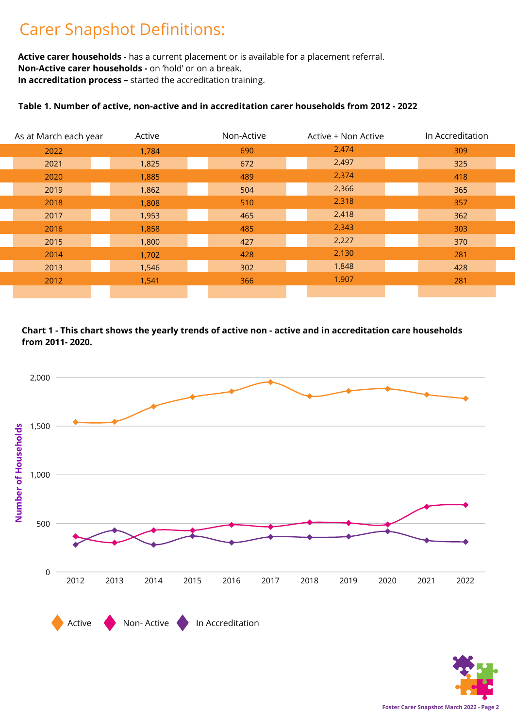# Carer Snapshot Definitions:

**Active carer households -** has a current placement or is available for a placement referral. **Non-Active carer households -** on 'hold' or on a break. **In accreditation process –** started the accreditation training.

### **Table 1. Number of active, non-active and in accreditation carer households from 2012 - 2022**

| As at March each year | Active | Non-Active | Active + Non Active | In Accreditation |
|-----------------------|--------|------------|---------------------|------------------|
| 2022                  | 1,784  | 690        | 2,474               | 309              |
| 2021                  | 1,825  | 672        | 2,497               | 325              |
| 2020                  | 1,885  | 489        | 2,374               | 418              |
| 2019                  | 1,862  | 504        | 2,366               | 365              |
| 2018                  | 1,808  | 510        | 2,318               | 357              |
| 2017                  | 1,953  | 465        | 2,418               | 362              |
| 2016                  | 1,858  | 485        | 2,343               | 303              |
| 2015                  | 1,800  | 427        | 2,227               | 370              |
| 2014                  | 1,702  | 428        | 2,130               | 281              |
| 2013                  | 1,546  | 302        | 1,848               | 428              |
| 2012                  | 1,541  | 366        | 1,907               | 281              |
|                       |        |            |                     |                  |

**from 2011- 2020.**



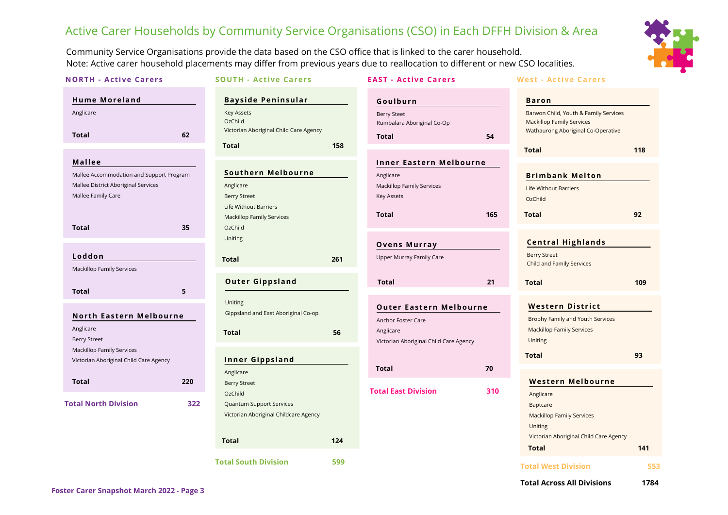# Active Carer Households by Community Service Organisations (CSO) in Each DFFH Division & Area

Community Service Organisations provide the data based on the CSO office that is linked to the carer household. Note: Active carer household placements may differ from previous years due to reallocation to different or new CSO localities.



| <b>NORTH - Active Carers</b>                                                                                                    |            | <b>SOUTH - Active Carers</b>                                                                                                                            |     | <b>EAST - Active Carers</b>                                                                                 |     | <b>West - Active Carers</b>                                                                                                                                |           |
|---------------------------------------------------------------------------------------------------------------------------------|------------|---------------------------------------------------------------------------------------------------------------------------------------------------------|-----|-------------------------------------------------------------------------------------------------------------|-----|------------------------------------------------------------------------------------------------------------------------------------------------------------|-----------|
| <b>Hume Moreland</b>                                                                                                            |            | <b>Bayside Peninsular</b>                                                                                                                               |     | Goulburn                                                                                                    |     | <b>Baron</b>                                                                                                                                               |           |
| Anglicare<br><b>Total</b>                                                                                                       | 62         | <b>Key Assets</b><br>OzChild<br>Victorian Aboriginal Child Care Agency<br><b>Total</b>                                                                  | 158 | <b>Berry Steet</b><br>Rumbalara Aboriginal Co-Op<br>Total                                                   | 54  | Barwon Child, Youth & Family Services<br><b>Mackillop Family Services</b><br>Wathaurong Aboriginal Co-Operative                                            |           |
| <b>Mallee</b><br>Mallee Accommodation and Support Program<br>Mallee District Aboriginal Services<br>Mallee Family Care<br>Total | 35         | <b>Southern Melbourne</b><br>Anglicare<br><b>Berry Street</b><br><b>Life Without Barriers</b><br><b>Mackillop Family Services</b><br>OzChild<br>Uniting |     | <b>Inner Eastern Melbourne</b><br>Anglicare<br>Mackillop Family Services<br>Key Assets<br><b>Total</b>      | 165 | <b>Total</b><br><b>Brimbank Melton</b><br><b>Life Without Barriers</b><br>OzChild<br><b>Total</b>                                                          | 118<br>92 |
| Loddon<br><b>Mackillop Family Services</b>                                                                                      |            | <b>Total</b><br><b>Outer Gippsland</b>                                                                                                                  | 261 | <b>Ovens Murray</b><br>Upper Murray Family Care<br><b>Total</b>                                             | 21  | <b>Central Highlands</b><br><b>Berry Street</b><br>Child and Family Services<br><b>Total</b>                                                               | 109       |
| <b>Total</b><br>North Eastern Melbourne<br>Anglicare<br>Berry Street                                                            | 5          | Uniting<br>Gippsland and East Aboriginal Co-op<br><b>Total</b>                                                                                          | 56  | <b>Outer Eastern Melbourne</b><br>Anchor Foster Care<br>Anglicare<br>Victorian Aboriginal Child Care Agency |     | <b>Western District</b><br>Brophy Family and Youth Services<br><b>Mackillop Family Services</b><br>Uniting                                                 |           |
| <b>Mackillop Family Services</b><br>Victorian Aboriginal Child Care Agency                                                      |            | <b>Inner Gippsland</b><br>Anglicare                                                                                                                     |     | <b>Total</b>                                                                                                | 70  | <b>Total</b>                                                                                                                                               | 93        |
| <b>Total</b><br><b>Total North Division</b>                                                                                     | 220<br>322 | <b>Berry Street</b><br>OzChild<br><b>Quantum Support Services</b><br>Victorian Aboriginal Childcare Agency<br><b>Total</b>                              |     | <b>Total East Division</b>                                                                                  | 310 | <b>Western Melbourne</b><br>Anglicare<br>Baptcare<br><b>Mackillop Family Services</b><br>Uniting<br>Victorian Aboriginal Child Care Agency<br><b>Total</b> | 141       |
|                                                                                                                                 |            | <b>Total South Division</b>                                                                                                                             | 599 |                                                                                                             |     | <b>Total West Division</b>                                                                                                                                 | 553       |

**Total Across All Divisions 1784**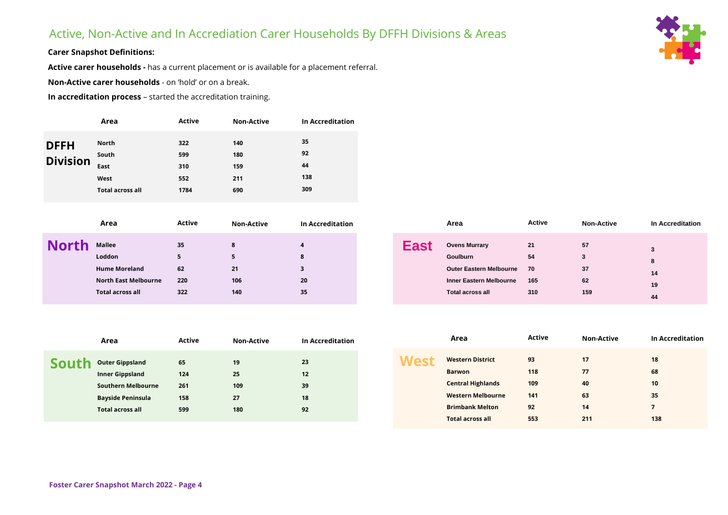## Active, Non-Active and In Accrediation Carer Households By DFFH Divisions & Areas



#### **Carer Snapshot Definitions:**

**Active carer households -** has a current placement or is available for a placement referral.

**Non-Active carer households** - on 'hold' or on a break.

**In accreditation process** – started the accreditation training.

|                                | Area                                               | <b>Active</b>                    | <b>Non-Active</b>               | In Accreditation             |
|--------------------------------|----------------------------------------------------|----------------------------------|---------------------------------|------------------------------|
| <b>DFFH</b><br><b>Division</b> | North<br>South<br>East<br>West<br>Total across all | 322<br>599<br>310<br>552<br>1784 | 140<br>180<br>159<br>211<br>690 | 35<br>92<br>44<br>138<br>309 |
|                                |                                                    |                                  |                                 |                              |

| <b>Mallee</b><br>35<br>8<br><b>Ovens Murrary</b><br>Loddon<br>Goulburn<br>$\circ$                                                      | Active           | <b>Non-Active</b> | In Accreditation |
|----------------------------------------------------------------------------------------------------------------------------------------|------------------|-------------------|------------------|
| 62<br><b>Hume Moreland</b><br><b>Outer Eastern Melbourne</b><br>21                                                                     | 21<br>54<br>- 70 | 57<br>37          | 14               |
| 106<br>North East Melbourne<br>220<br>20<br><b>Inner Eastern Melbourne</b><br>322<br>140<br>35<br>Total across all<br>Total across all | 165<br>310       | 62<br>159         | 19<br>44         |

|       | Area                      | <b>Active</b> | <b>Non-Active</b> | <b>In Accreditation</b> |
|-------|---------------------------|---------------|-------------------|-------------------------|
| South | <b>Outer Gippsland</b>    | 65            | 19                | 23                      |
|       | <b>Inner Gippsland</b>    | 124           | 25                | 12                      |
|       | <b>Southern Melbourne</b> | 261           | 109               | 39                      |
|       | <b>Bayside Peninsula</b>  | 158           | 27                | 18                      |
|       | <b>Total across all</b>   | 599           | 180               | 92                      |

|      | Area                     | <b>Active</b> | <b>Non-Active</b> | <b>In Accreditation</b> |
|------|--------------------------|---------------|-------------------|-------------------------|
| West | <b>Western District</b>  | 93            | 17                | 18                      |
|      | <b>Barwon</b>            | 118           | 77                | 68                      |
|      | <b>Central Highlands</b> | 109           | 40                | 10                      |
|      | <b>Western Melbourne</b> | 141           | 63                | 35                      |
|      | <b>Brimbank Melton</b>   | 92            | 14                | 7                       |
|      | <b>Total across all</b>  | 553           | 211               | 138                     |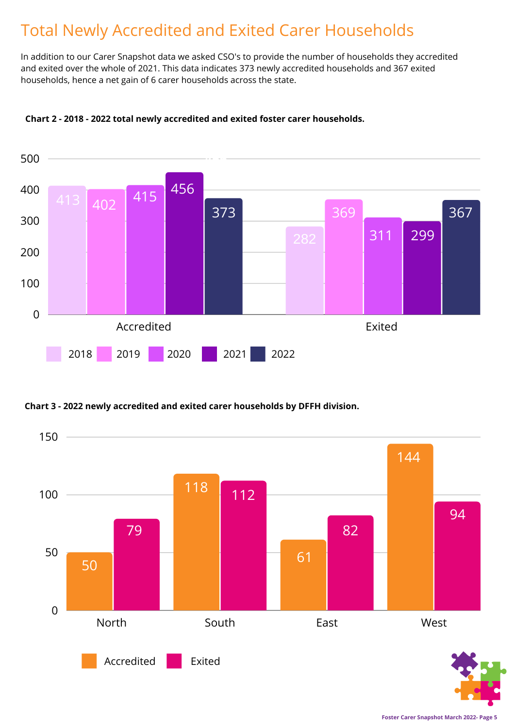# Total Newly Accredited and Exited Carer Households

In addition to our Carer Snapshot data we asked CSO's to provide the number of households they accredited and exited over the whole of 2021. This data indicates 373 newly accredited households and 367 exited households, hence a net gain of 6 carer households across the state.



### **Chart 2 - 2018 - 2022 total newly accredited and exited foster carer households.**